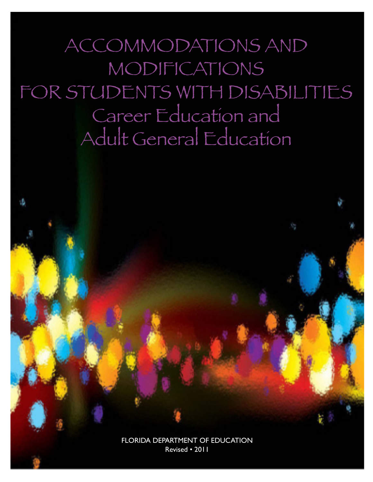ACCOMMODATIONS AND MODIFICATIONS FOR STUDENTS WITH DISABILITIES Career Education and Adult General Education

> FLORIDA DEPARTMENT OF EDUCATION Revised • 2011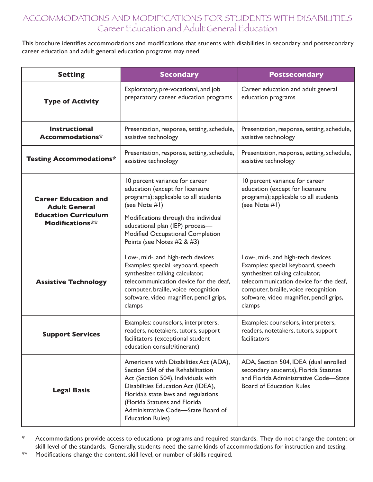# ACCOMMODATIONS AND MODIFICATIONS FOR STUDENTS WITH DISABILITIES Career Education and Adult General Education

This brochure identifies accommodations and modifications that students with disabilities in secondary and postsecondary career education and adult general education programs may need.

| <b>Setting</b>                                                                                        | <b>Secondary</b>                                                                                                                                                                                                                                                                                   | <b>Postsecondary</b>                                                                                                                                                                                                                                |
|-------------------------------------------------------------------------------------------------------|----------------------------------------------------------------------------------------------------------------------------------------------------------------------------------------------------------------------------------------------------------------------------------------------------|-----------------------------------------------------------------------------------------------------------------------------------------------------------------------------------------------------------------------------------------------------|
| <b>Type of Activity</b>                                                                               | Exploratory, pre-vocational, and job<br>preparatory career education programs                                                                                                                                                                                                                      | Career education and adult general<br>education programs                                                                                                                                                                                            |
| <b>Instructional</b><br>Accommodations*                                                               | Presentation, response, setting, schedule,<br>assistive technology                                                                                                                                                                                                                                 | Presentation, response, setting, schedule,<br>assistive technology                                                                                                                                                                                  |
| <b>Testing Accommodations*</b>                                                                        | Presentation, response, setting, schedule,<br>assistive technology                                                                                                                                                                                                                                 | Presentation, response, setting, schedule,<br>assistive technology                                                                                                                                                                                  |
| <b>Career Education and</b><br><b>Adult General</b><br><b>Education Curriculum</b><br>Modifications** | 10 percent variance for career<br>education (except for licensure<br>programs); applicable to all students<br>(see Note #1)<br>Modifications through the individual<br>educational plan (IEP) process-<br>Modified Occupational Completion<br>Points (see Notes #2 & #3)                           | 10 percent variance for career<br>education (except for licensure<br>programs); applicable to all students<br>(see Note #1)                                                                                                                         |
| <b>Assistive Technology</b>                                                                           | Low-, mid-, and high-tech devices<br>Examples: special keyboard, speech<br>synthesizer, talking calculator,<br>telecommunication device for the deaf,<br>computer, braille, voice recognition<br>software, video magnifier, pencil grips,<br>clamps                                                | Low-, mid-, and high-tech devices<br>Examples: special keyboard, speech<br>synthesizer, talking calculator,<br>telecommunication device for the deaf,<br>computer, braille, voice recognition<br>software, video magnifier, pencil grips,<br>clamps |
| <b>Support Services</b>                                                                               | Examples: counselors, interpreters,<br>readers, notetakers, tutors, support<br>facilitators (exceptional student<br>education consult/itinerant)                                                                                                                                                   | Examples: counselors, interpreters,<br>readers, notetakers, tutors, support<br>facilitators                                                                                                                                                         |
| <b>Legal Basis</b>                                                                                    | Americans with Disabilities Act (ADA),<br>Section 504 of the Rehabilitation<br>Act (Section 504), Individuals with<br>Disabilities Education Act (IDEA),<br>Florida's state laws and regulations<br>(Florida Statutes and Florida<br>Administrative Code-State Board of<br><b>Education Rules)</b> | ADA, Section 504, IDEA (dual enrolled<br>secondary students), Florida Statutes<br>and Florida Administrative Code-State<br><b>Board of Education Rules</b>                                                                                          |

\* Accommodations provide access to educational programs and required standards. They do not change the content or skill level of the standards. Generally, students need the same kinds of accommodations for instruction and testing.

\*\* Modifications change the content, skill level, or number of skills required.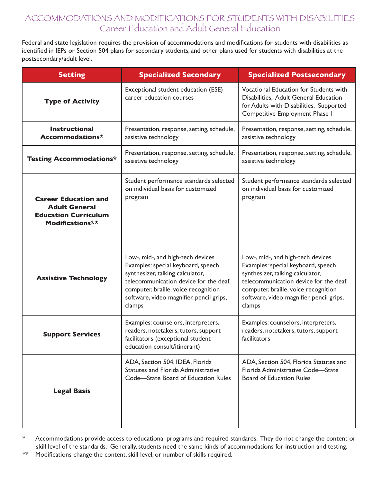# ACCOMMODATIONS AND MODIFICATIONS FOR STUDENTS WITH DISABILITIES Career Education and Adult General Education

Federal and state legislation requires the provision of accommodations and modifications for students with disabilities as identified in IEPs or Section 504 plans for secondary students, and other plans used for students with disabilities at the postsecondary/adult level.

| <b>Setting</b>                                                                                        | <b>Specialized Secondary</b>                                                                                                                                                                                                                        | <b>Specialized Postsecondary</b>                                                                                                                                                                                                                    |
|-------------------------------------------------------------------------------------------------------|-----------------------------------------------------------------------------------------------------------------------------------------------------------------------------------------------------------------------------------------------------|-----------------------------------------------------------------------------------------------------------------------------------------------------------------------------------------------------------------------------------------------------|
| <b>Type of Activity</b>                                                                               | Exceptional student education (ESE)<br>career education courses                                                                                                                                                                                     | Vocational Education for Students with<br>Disabilities, Adult General Education<br>for Adults with Disabilities, Supported<br>Competitive Employment Phase I                                                                                        |
| <b>Instructional</b><br>Accommodations*                                                               | Presentation, response, setting, schedule,<br>assistive technology                                                                                                                                                                                  | Presentation, response, setting, schedule,<br>assistive technology                                                                                                                                                                                  |
| <b>Testing Accommodations*</b>                                                                        | Presentation, response, setting, schedule,<br>assistive technology                                                                                                                                                                                  | Presentation, response, setting, schedule,<br>assistive technology                                                                                                                                                                                  |
| <b>Career Education and</b><br><b>Adult General</b><br><b>Education Curriculum</b><br>Modifications** | Student performance standards selected<br>on individual basis for customized<br>program                                                                                                                                                             | Student performance standards selected<br>on individual basis for customized<br>program                                                                                                                                                             |
| <b>Assistive Technology</b>                                                                           | Low-, mid-, and high-tech devices<br>Examples: special keyboard, speech<br>synthesizer, talking calculator,<br>telecommunication device for the deaf,<br>computer, braille, voice recognition<br>software, video magnifier, pencil grips,<br>clamps | Low-, mid-, and high-tech devices<br>Examples: special keyboard, speech<br>synthesizer, talking calculator,<br>telecommunication device for the deaf,<br>computer, braille, voice recognition<br>software, video magnifier, pencil grips,<br>clamps |
| <b>Support Services</b>                                                                               | Examples: counselors, interpreters,<br>readers, notetakers, tutors, support<br>facilitators (exceptional student<br>education consult/itinerant)                                                                                                    | Examples: counselors, interpreters,<br>readers, notetakers, tutors, support<br>facilitators                                                                                                                                                         |
| <b>Legal Basis</b>                                                                                    | ADA, Section 504, IDEA, Florida<br><b>Statutes and Florida Administrative</b><br>Code-State Board of Education Rules                                                                                                                                | ADA, Section 504, Florida Statutes and<br>Florida Administrative Code-State<br><b>Board of Education Rules</b>                                                                                                                                      |

<sup>\*</sup> Accommodations provide access to educational programs and required standards. They do not change the content or skill level of the standards. Generally, students need the same kinds of accommodations for instruction and testing.

<sup>\*\*</sup> Modifications change the content, skill level, or number of skills required.